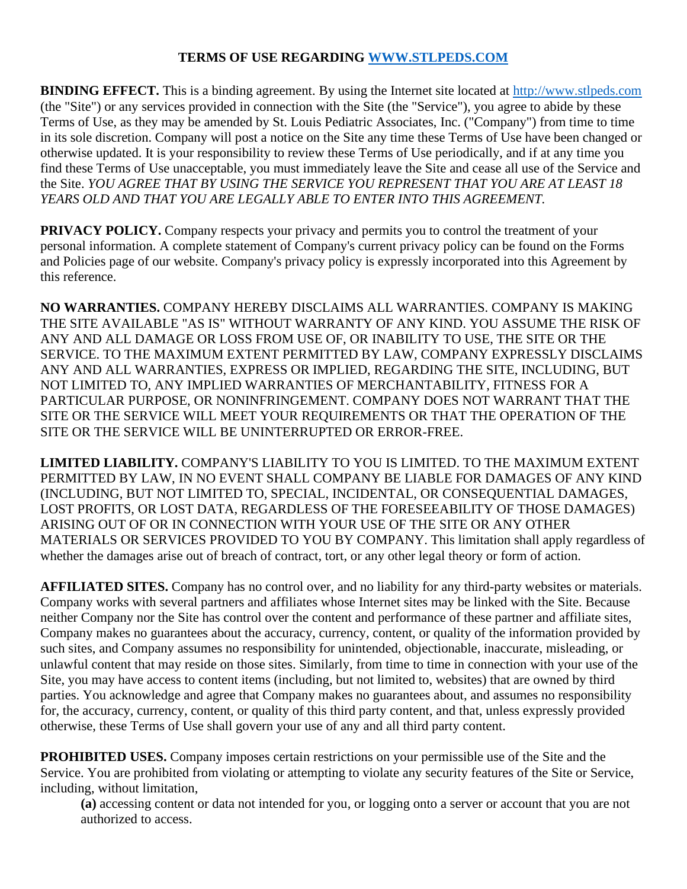## **TERMS OF USE REGARDING [WWW.STLPEDS.COM](http://www.stlpeds.com/)**

**BINDING EFFECT.** This is a binding agreement. By using the Internet site located at [http://www.stlpeds.com](http://www.stlpeds.com/) (the "Site") or any services provided in connection with the Site (the "Service"), you agree to abide by these Terms of Use, as they may be amended by St. Louis Pediatric Associates, Inc. ("Company") from time to time in its sole discretion. Company will post a notice on the Site any time these Terms of Use have been changed or otherwise updated. It is your responsibility to review these Terms of Use periodically, and if at any time you find these Terms of Use unacceptable, you must immediately leave the Site and cease all use of the Service and the Site. *YOU AGREE THAT BY USING THE SERVICE YOU REPRESENT THAT YOU ARE AT LEAST 18 YEARS OLD AND THAT YOU ARE LEGALLY ABLE TO ENTER INTO THIS AGREEMENT.*

**PRIVACY POLICY.** Company respects your privacy and permits you to control the treatment of your personal information. A complete statement of Company's current privacy policy can be found on the Forms and Policies page of our website. Company's privacy policy is expressly incorporated into this Agreement by this reference.

**NO WARRANTIES.** COMPANY HEREBY DISCLAIMS ALL WARRANTIES. COMPANY IS MAKING THE SITE AVAILABLE "AS IS" WITHOUT WARRANTY OF ANY KIND. YOU ASSUME THE RISK OF ANY AND ALL DAMAGE OR LOSS FROM USE OF, OR INABILITY TO USE, THE SITE OR THE SERVICE. TO THE MAXIMUM EXTENT PERMITTED BY LAW, COMPANY EXPRESSLY DISCLAIMS ANY AND ALL WARRANTIES, EXPRESS OR IMPLIED, REGARDING THE SITE, INCLUDING, BUT NOT LIMITED TO, ANY IMPLIED WARRANTIES OF MERCHANTABILITY, FITNESS FOR A PARTICULAR PURPOSE, OR NONINFRINGEMENT. COMPANY DOES NOT WARRANT THAT THE SITE OR THE SERVICE WILL MEET YOUR REQUIREMENTS OR THAT THE OPERATION OF THE SITE OR THE SERVICE WILL BE UNINTERRUPTED OR ERROR-FREE.

**LIMITED LIABILITY.** COMPANY'S LIABILITY TO YOU IS LIMITED. TO THE MAXIMUM EXTENT PERMITTED BY LAW, IN NO EVENT SHALL COMPANY BE LIABLE FOR DAMAGES OF ANY KIND (INCLUDING, BUT NOT LIMITED TO, SPECIAL, INCIDENTAL, OR CONSEQUENTIAL DAMAGES, LOST PROFITS, OR LOST DATA, REGARDLESS OF THE FORESEEABILITY OF THOSE DAMAGES) ARISING OUT OF OR IN CONNECTION WITH YOUR USE OF THE SITE OR ANY OTHER MATERIALS OR SERVICES PROVIDED TO YOU BY COMPANY. This limitation shall apply regardless of whether the damages arise out of breach of contract, tort, or any other legal theory or form of action.

**AFFILIATED SITES.** Company has no control over, and no liability for any third-party websites or materials. Company works with several partners and affiliates whose Internet sites may be linked with the Site. Because neither Company nor the Site has control over the content and performance of these partner and affiliate sites, Company makes no guarantees about the accuracy, currency, content, or quality of the information provided by such sites, and Company assumes no responsibility for unintended, objectionable, inaccurate, misleading, or unlawful content that may reside on those sites. Similarly, from time to time in connection with your use of the Site, you may have access to content items (including, but not limited to, websites) that are owned by third parties. You acknowledge and agree that Company makes no guarantees about, and assumes no responsibility for, the accuracy, currency, content, or quality of this third party content, and that, unless expressly provided otherwise, these Terms of Use shall govern your use of any and all third party content.

**PROHIBITED USES.** Company imposes certain restrictions on your permissible use of the Site and the Service. You are prohibited from violating or attempting to violate any security features of the Site or Service, including, without limitation,

**(a)** accessing content or data not intended for you, or logging onto a server or account that you are not authorized to access.